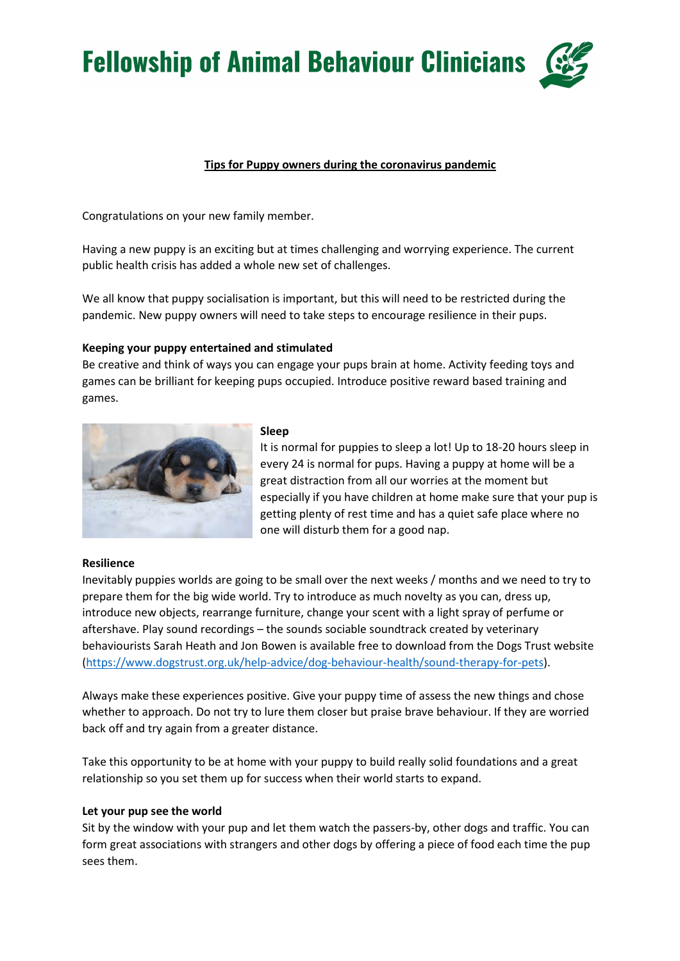**Fellowship of Animal Behaviour Clinicians** 

# Tips for Puppy owners during the coronavirus pandemic

Congratulations on your new family member.

Having a new puppy is an exciting but at times challenging and worrying experience. The current public health crisis has added a whole new set of challenges.

We all know that puppy socialisation is important, but this will need to be restricted during the pandemic. New puppy owners will need to take steps to encourage resilience in their pups.

## Keeping your puppy entertained and stimulated

Be creative and think of ways you can engage your pups brain at home. Activity feeding toys and games can be brilliant for keeping pups occupied. Introduce positive reward based training and games.



#### Sleep

It is normal for puppies to sleep a lot! Up to 18-20 hours sleep in every 24 is normal for pups. Having a puppy at home will be a great distraction from all our worries at the moment but especially if you have children at home make sure that your pup is getting plenty of rest time and has a quiet safe place where no one will disturb them for a good nap.

### Resilience

Inevitably puppies worlds are going to be small over the next weeks / months and we need to try to prepare them for the big wide world. Try to introduce as much novelty as you can, dress up, introduce new objects, rearrange furniture, change your scent with a light spray of perfume or aftershave. Play sound recordings – the sounds sociable soundtrack created by veterinary behaviourists Sarah Heath and Jon Bowen is available free to download from the Dogs Trust website (https://www.dogstrust.org.uk/help-advice/dog-behaviour-health/sound-therapy-for-pets).

Always make these experiences positive. Give your puppy time of assess the new things and chose whether to approach. Do not try to lure them closer but praise brave behaviour. If they are worried back off and try again from a greater distance.

Take this opportunity to be at home with your puppy to build really solid foundations and a great relationship so you set them up for success when their world starts to expand.

### Let your pup see the world

Sit by the window with your pup and let them watch the passers-by, other dogs and traffic. You can form great associations with strangers and other dogs by offering a piece of food each time the pup sees them.